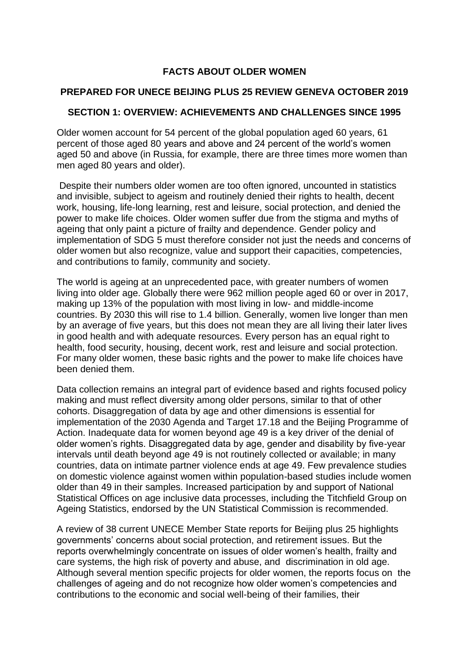#### **FACTS ABOUT OLDER WOMEN**

#### **PREPARED FOR UNECE BEIJING PLUS 25 REVIEW GENEVA OCTOBER 2019**

#### **SECTION 1: OVERVIEW: ACHIEVEMENTS AND CHALLENGES SINCE 1995**

Older women account for 54 percent of the global population aged 60 years, 61 percent of those aged 80 years and above and 24 percent of the world's women aged 50 and above (in Russia, for example, there are three times more women than men aged 80 years and older).

Despite their numbers older women are too often ignored, uncounted in statistics and invisible, subject to ageism and routinely denied their rights to health, decent work, housing, life-long learning, rest and leisure, social protection, and denied the power to make life choices. Older women suffer due from the stigma and myths of ageing that only paint a picture of frailty and dependence. Gender policy and implementation of SDG 5 must therefore consider not just the needs and concerns of older women but also recognize, value and support their capacities, competencies, and contributions to family, community and society.

The world is ageing at an unprecedented pace, with greater numbers of women living into older age. Globally there were 962 million people aged 60 or over in 2017, making up 13% of the population with most living in low- and middle-income countries. By 2030 this will rise to 1.4 billion. Generally, women live longer than men by an average of five years, but this does not mean they are all living their later lives in good health and with adequate resources. Every person has an equal right to health, food security, housing, decent work, rest and leisure and social protection. For many older women, these basic rights and the power to make life choices have been denied them.

Data collection remains an integral part of evidence based and rights focused policy making and must reflect diversity among older persons, similar to that of other cohorts. Disaggregation of data by age and other dimensions is essential for implementation of the 2030 Agenda and Target 17.18 and the Beijing Programme of Action. Inadequate data for women beyond age 49 is a key driver of the denial of older women's rights. Disaggregated data by age, gender and disability by five-year intervals until death beyond age 49 is not routinely collected or available; in many countries, data on intimate partner violence ends at age 49. Few prevalence studies on domestic violence against women within population-based studies include women older than 49 in their samples. Increased participation by and support of National Statistical Offices on age inclusive data processes, including the Titchfield Group on Ageing Statistics, endorsed by the UN Statistical Commission is recommended.

A review of 38 current UNECE Member State reports for Beijing plus 25 highlights governments' concerns about social protection, and retirement issues. But the reports overwhelmingly concentrate on issues of older women's health, frailty and care systems, the high risk of poverty and abuse, and discrimination in old age. Although several mention specific projects for older women, the reports focus on the challenges of ageing and do not recognize how older women's competencies and contributions to the economic and social well-being of their families, their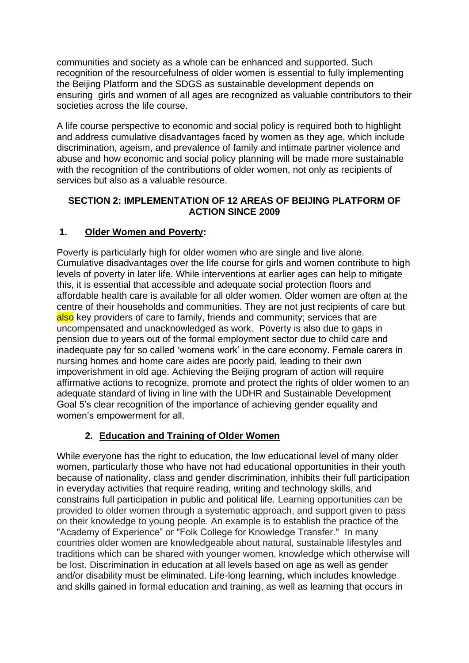communities and society as a whole can be enhanced and supported. Such recognition of the resourcefulness of older women is essential to fully implementing the Beijing Platform and the SDGS as sustainable development depends on ensuring girls and women of all ages are recognized as valuable contributors to their societies across the life course.

A life course perspective to economic and social policy is required both to highlight and address cumulative disadvantages faced by women as they age, which include discrimination, ageism, and prevalence of family and intimate partner violence and abuse and how economic and social policy planning will be made more sustainable with the recognition of the contributions of older women, not only as recipients of services but also as a valuable resource.

#### **SECTION 2: IMPLEMENTATION OF 12 AREAS OF BEIJING PLATFORM OF ACTION SINCE 2009**

## **1. Older Women and Poverty:**

Poverty is particularly high for older women who are single and live alone. Cumulative disadvantages over the life course for girls and women contribute to high levels of poverty in later life. While interventions at earlier ages can help to mitigate this, it is essential that accessible and adequate social protection floors and affordable health care is available for all older women. Older women are often at the centre of their households and communities. They are not just recipients of care but also key providers of care to family, friends and community; services that are uncompensated and unacknowledged as work. Poverty is also due to gaps in pension due to years out of the formal employment sector due to child care and inadequate pay for so called 'womens work' in the care economy. Female carers in nursing homes and home care aides are poorly paid, leading to their own impoverishment in old age. Achieving the Beijing program of action will require affirmative actions to recognize, promote and protect the rights of older women to an adequate standard of living in line with the UDHR and Sustainable Development Goal 5's clear recognition of the importance of achieving gender equality and women's empowerment for all.

#### **2. Education and Training of Older Women**

While everyone has the right to education, the low educational level of many older women, particularly those who have not had educational opportunities in their youth because of nationality, class and gender discrimination, inhibits their full participation in everyday activities that require reading, writing and technology skills, and constrains full participation in public and political life. Learning opportunities can be provided to older women through a systematic approach, and support given to pass on their knowledge to young people. An example is to establish the practice of the "Academy of Experience" or "Folk College for Knowledge Transfer." In many countries older women are knowledgeable about natural, sustainable lifestyles and traditions which can be shared with younger women, knowledge which otherwise will be lost. Discrimination in education at all levels based on age as well as gender and/or disability must be eliminated. Life-long learning, which includes knowledge and skills gained in formal education and training, as well as learning that occurs in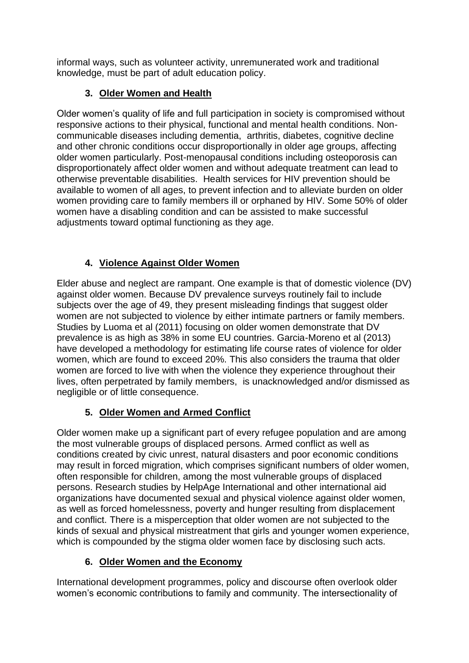informal ways, such as volunteer activity, unremunerated work and traditional knowledge, must be part of adult education policy.

## **3. Older Women and Health**

Older women's quality of life and full participation in society is compromised without responsive actions to their physical, functional and mental health conditions. Noncommunicable diseases including dementia, arthritis, diabetes, cognitive decline and other chronic conditions occur disproportionally in older age groups, affecting older women particularly. Post-menopausal conditions including osteoporosis can disproportionately affect older women and without adequate treatment can lead to otherwise preventable disabilities. Health services for HIV prevention should be available to women of all ages, to prevent infection and to alleviate burden on older women providing care to family members ill or orphaned by HIV. Some 50% of older women have a disabling condition and can be assisted to make successful adjustments toward optimal functioning as they age.

# **4. Violence Against Older Women**

Elder abuse and neglect are rampant. One example is that of domestic violence (DV) against older women. Because DV prevalence surveys routinely fail to include subjects over the age of 49, they present misleading findings that suggest older women are not subjected to violence by either intimate partners or family members. Studies by Luoma et al (2011) focusing on older women demonstrate that DV prevalence is as high as 38% in some EU countries. Garcia-Moreno et al (2013) have developed a methodology for estimating life course rates of violence for older women, which are found to exceed 20%. This also considers the trauma that older women are forced to live with when the violence they experience throughout their lives, often perpetrated by family members, is unacknowledged and/or dismissed as negligible or of little consequence.

# **5. Older Women and Armed Conflict**

Older women make up a significant part of every refugee population and are among the most vulnerable groups of displaced persons. Armed conflict as well as conditions created by civic unrest, natural disasters and poor economic conditions may result in forced migration, which comprises significant numbers of older women, often responsible for children, among the most vulnerable groups of displaced persons. Research studies by HelpAge International and other international aid organizations have documented sexual and physical violence against older women, as well as forced homelessness, poverty and hunger resulting from displacement and conflict. There is a misperception that older women are not subjected to the kinds of sexual and physical mistreatment that girls and younger women experience, which is compounded by the stigma older women face by disclosing such acts.

# **6. Older Women and the Economy**

International development programmes, policy and discourse often overlook older women's economic contributions to family and community. The intersectionality of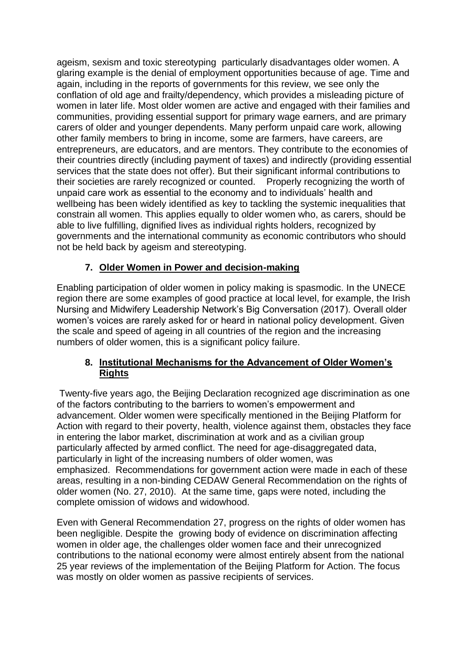ageism, sexism and toxic stereotyping particularly disadvantages older women. A glaring example is the denial of employment opportunities because of age. Time and again, including in the reports of governments for this review, we see only the conflation of old age and frailty/dependency, which provides a misleading picture of women in later life. Most older women are active and engaged with their families and communities, providing essential support for primary wage earners, and are primary carers of older and younger dependents. Many perform unpaid care work, allowing other family members to bring in income, some are farmers, have careers, are entrepreneurs, are educators, and are mentors. They contribute to the economies of their countries directly (including payment of taxes) and indirectly (providing essential services that the state does not offer). But their significant informal contributions to their societies are rarely recognized or counted. Properly recognizing the worth of unpaid care work as essential to the economy and to individuals' health and wellbeing has been widely identified as key to tackling the systemic inequalities that constrain all women. This applies equally to older women who, as carers, should be able to live fulfilling, dignified lives as individual rights holders, recognized by governments and the international community as economic contributors who should not be held back by ageism and stereotyping.

### **7. Older Women in Power and decision-making**

Enabling participation of older women in policy making is spasmodic. In the UNECE region there are some examples of good practice at local level, for example, the Irish Nursing and Midwifery Leadership Network's Big Conversation (2017). Overall older women's voices are rarely asked for or heard in national policy development. Given the scale and speed of ageing in all countries of the region and the increasing numbers of older women, this is a significant policy failure.

#### **8. Institutional Mechanisms for the Advancement of Older Women's Rights**

Twenty-five years ago, the Beijing Declaration recognized age discrimination as one of the factors contributing to the barriers to women's empowerment and advancement. Older women were specifically mentioned in the Beijing Platform for Action with regard to their poverty, health, violence against them, obstacles they face in entering the labor market, discrimination at work and as a civilian group particularly affected by armed conflict. The need for age-disaggregated data, particularly in light of the increasing numbers of older women, was emphasized. Recommendations for government action were made in each of these areas, resulting in a non-binding CEDAW General Recommendation on the rights of older women (No. 27, 2010). At the same time, gaps were noted, including the complete omission of widows and widowhood.

Even with General Recommendation 27, progress on the rights of older women has been negligible. Despite the growing body of evidence on discrimination affecting women in older age, the challenges older women face and their unrecognized contributions to the national economy were almost entirely absent from the national 25 year reviews of the implementation of the Beijing Platform for Action. The focus was mostly on older women as passive recipients of services.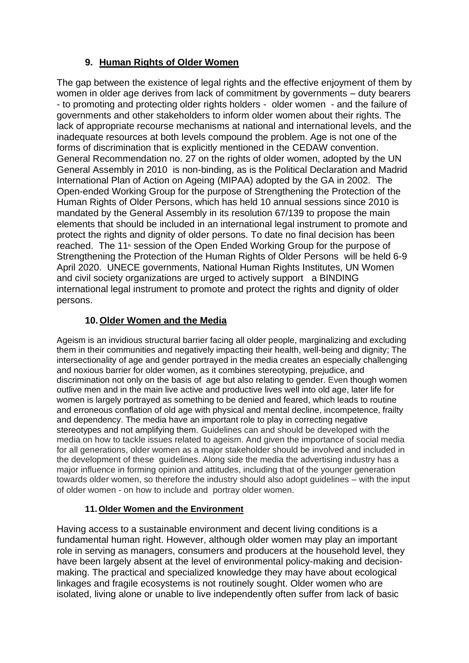### **9. Human Rights of Older Women**

The gap between the existence of legal rights and the effective enjoyment of them by women in older age derives from lack of commitment by governments – duty bearers - to promoting and protecting older rights holders - older women - and the failure of governments and other stakeholders to inform older women about their rights. The lack of appropriate recourse mechanisms at national and international levels, and the inadequate resources at both levels compound the problem. Age is not one of the forms of discrimination that is explicitly mentioned in the CEDAW convention. General Recommendation no. 27 on the rights of older women, adopted by the UN General Assembly in 2010 is non-binding, as is the Political Declaration and Madrid International Plan of Action on Ageing (MIPAA) adopted by the GA in 2002. The Open-ended Working Group for the purpose of Strengthening the Protection of the Human Rights of Older Persons, which has held 10 annual sessions since 2010 is mandated by the General Assembly in its resolution 67/139 to propose the main elements that should be included in an international legal instrument to promote and protect the rights and dignity of older persons. To date no final decision has been reached. The 11<sup>th</sup> session of the Open Ended Working Group for the purpose of Strengthening the Protection of the Human Rights of Older Persons will be held 6-9 April 2020. UNECE governments, National Human Rights Institutes, UN Women and civil society organizations are urged to actively support a BINDING international legal instrument to promote and protect the rights and dignity of older persons.

### **10. Older Women and the Media**

Ageism is an invidious structural barrier facing all older people, marginalizing and excluding them in their communities and negatively impacting their health, well-being and dignity; The intersectionality of age and gender portrayed in the media creates an especially challenging and noxious barrier for older women, as it combines stereotyping, prejudice, and discrimination not only on the basis of age but also relating to gender. Even though women outlive men and in the main live active and productive lives well into old age, later life for women is largely portrayed as something to be denied and feared, which leads to routine and erroneous conflation of old age with physical and mental decline, incompetence, frailty and dependency. The media have an important role to play in correcting negative stereotypes and not amplifying them. Guidelines can and should be developed with the media on how to tackle issues related to ageism. And given the importance of social media for all generations, older women as a major stakeholder should be involved and included in the development of these guidelines. Along side the media the advertising industry has a major influence in forming opinion and attitudes, including that of the younger generation towards older women, so therefore the industry should also adopt guidelines – with the input of older women - on how to include and portray older women.

#### **11. Older Women and the Environment**

Having access to a sustainable environment and decent living conditions is a fundamental human right. However, although older women may play an important role in serving as managers, consumers and producers at the household level, they have been largely absent at the level of environmental policy-making and decisionmaking. The practical and specialized knowledge they may have about ecological linkages and fragile ecosystems is not routinely sought. Older women who are isolated, living alone or unable to live independently often suffer from lack of basic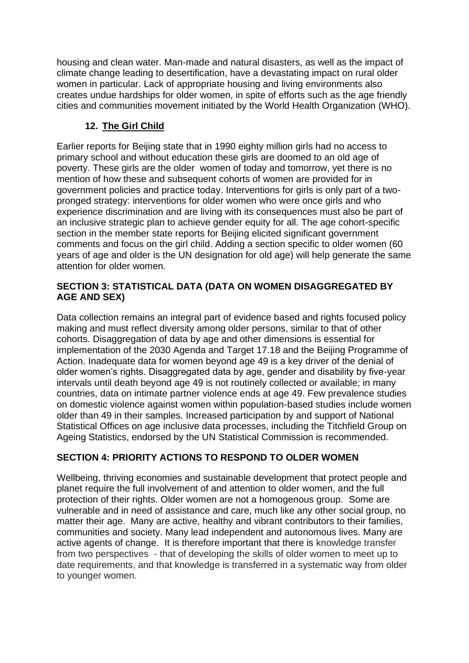housing and clean water. Man-made and natural disasters, as well as the impact of climate change leading to desertification, have a devastating impact on rural older women in particular. Lack of appropriate housing and living environments also creates undue hardships for older women, in spite of efforts such as the age friendly cities and communities movement initiated by the World Health Organization (WHO).

## **12. The Girl Child**

Earlier reports for Beijing state that in 1990 eighty million girls had no access to primary school and without education these girls are doomed to an old age of poverty. These girls are the older women of today and tomorrow, yet there is no mention of how these and subsequent cohorts of women are provided for in government policies and practice today. Interventions for girls is only part of a twopronged strategy: interventions for older women who were once girls and who experience discrimination and are living with its consequences must also be part of an inclusive strategic plan to achieve gender equity for all. The age cohort-specific section in the member state reports for Beijing elicited significant government comments and focus on the girl child. Adding a section specific to older women (60 years of age and older is the UN designation for old age) will help generate the same attention for older women.

#### **SECTION 3: STATISTICAL DATA (DATA ON WOMEN DISAGGREGATED BY AGE AND SEX)**

Data collection remains an integral part of evidence based and rights focused policy making and must reflect diversity among older persons, similar to that of other cohorts. Disaggregation of data by age and other dimensions is essential for implementation of the 2030 Agenda and Target 17.18 and the Beijing Programme of Action. Inadequate data for women beyond age 49 is a key driver of the denial of older women's rights. Disaggregated data by age, gender and disability by five-year intervals until death beyond age 49 is not routinely collected or available; in many countries, data on intimate partner violence ends at age 49. Few prevalence studies on domestic violence against women within population-based studies include women older than 49 in their samples. Increased participation by and support of National Statistical Offices on age inclusive data processes, including the Titchfield Group on Ageing Statistics, endorsed by the UN Statistical Commission is recommended.

# **SECTION 4: PRIORITY ACTIONS TO RESPOND TO OLDER WOMEN**

Wellbeing, thriving economies and sustainable development that protect people and planet require the full involvement of and attention to older women, and the full protection of their rights. Older women are not a homogenous group. Some are vulnerable and in need of assistance and care, much like any other social group, no matter their age. Many are active, healthy and vibrant contributors to their families, communities and society. Many lead independent and autonomous lives. Many are active agents of change. It is therefore important that there is knowledge transfer from two perspectives - that of developing the skills of older women to meet up to date requirements, and that knowledge is transferred in a systematic way from older to younger women.